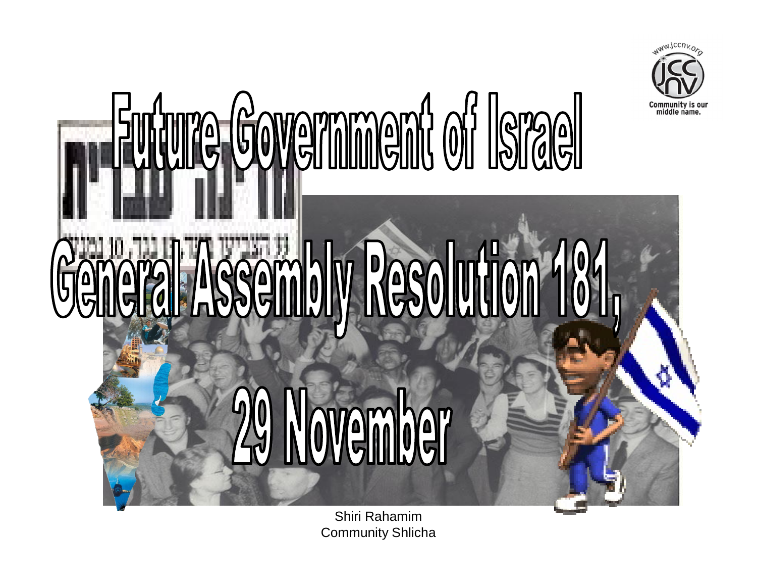

# ს Resolution ovember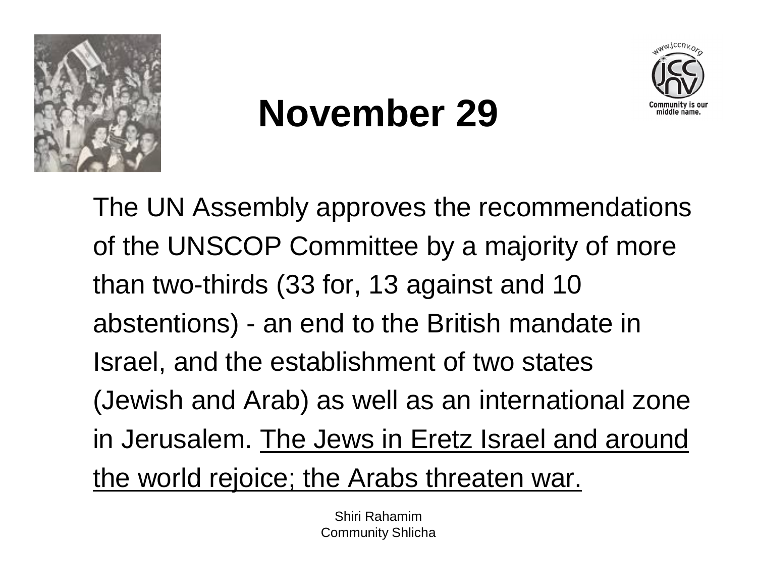



### **November 29**

The UN Assembly approves the recommendations of the UNSCOP Committee by a majority of more than two-thirds (33 for, 13 against and 10 abstentions) - an end to the British mandate in Israel, and the establishment of two states (Jewish and Arab) as well as an international zone in Jerusalem. The Jews in Eretz Israel and around the world rejoice; the Arabs threaten war.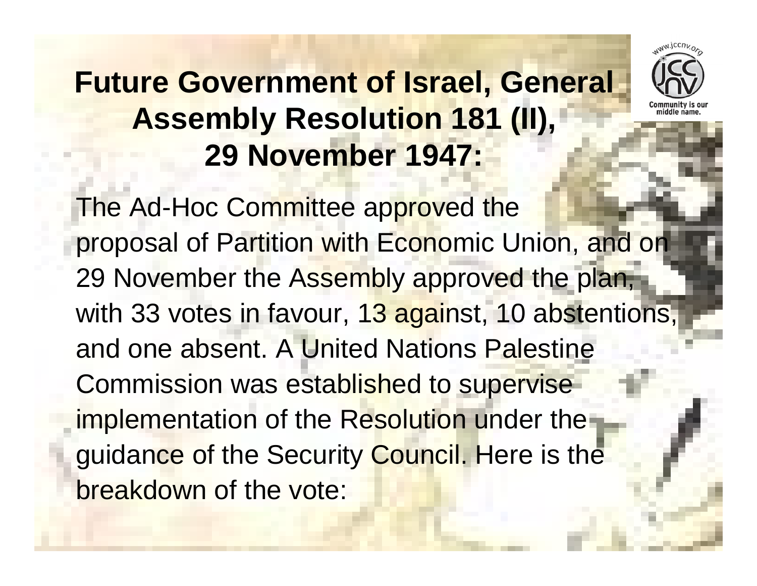### **Future Government of Israel, General Assembly Resolution 181 (II), 29 November 1947:**



The Ad-Hoc Committee approved the proposal of Partition with Economic Union, and on 29 November the Assembly approved the plan, with 33 votes in favour, 13 against, 10 abstentions, and one absent. A United Nations Palestine Commission was established to supervise implementation of the Resolution under the guidance of the Security Council. Here is the breakdown of the vote: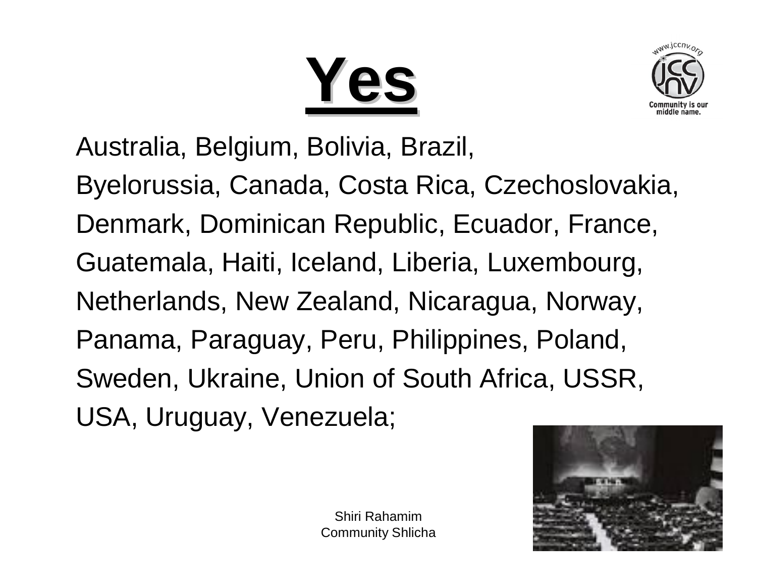**Yes**



Australia, Belgium, Bolivia, Brazil, Byelorussia, Canada, Costa Rica, Czechoslovakia, Denmark, Dominican Republic, Ecuador, France, Guatemala, Haiti, Iceland, Liberia, Luxembourg, Netherlands, New Zealand, Nicaragua, Norway, Panama, Paraguay, Peru, Philippines, Poland, Sweden, Ukraine, Union of South Africa, USSR, USA, Uruguay, Venezuela;

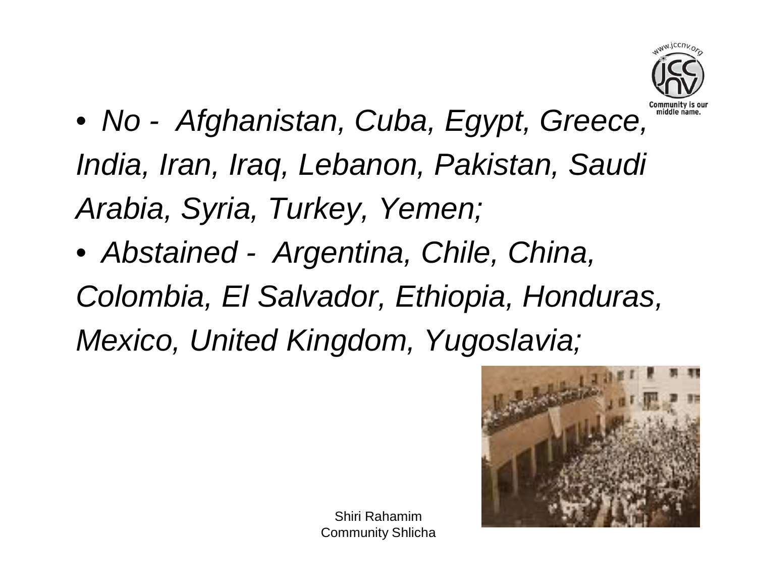

- *No - Afghanistan, Cuba, Egypt, Greece, India, Iran, Iraq, Lebanon, Pakistan, Saudi Arabia, Syria, Turkey, Yemen;*
- *Abstained - Argentina, Chile, China, Colombia, El Salvador, Ethiopia, Honduras, Mexico, United Kingdom, Yugoslavia;*

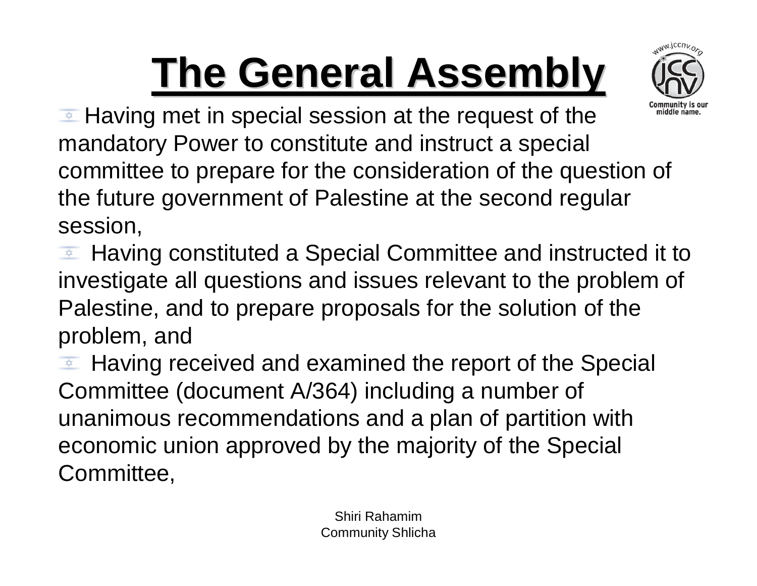## **The General Assembly**



 $\triangleq$  Having met in special session at the request of the mandatory Power to constitute and instruct a special committee to prepare for the consideration of the question of the future government of Palestine at the second regular session,

Having constituted a Special Committee and instructed it to investigate all questions and issues relevant to the problem of Palestine, and to prepare proposals for the solution of the problem, and

Having received and examined the report of the Special Committee (document A/364) including a number of unanimous recommendations and a plan of partition with economic union approved by the majority of the Special Committee,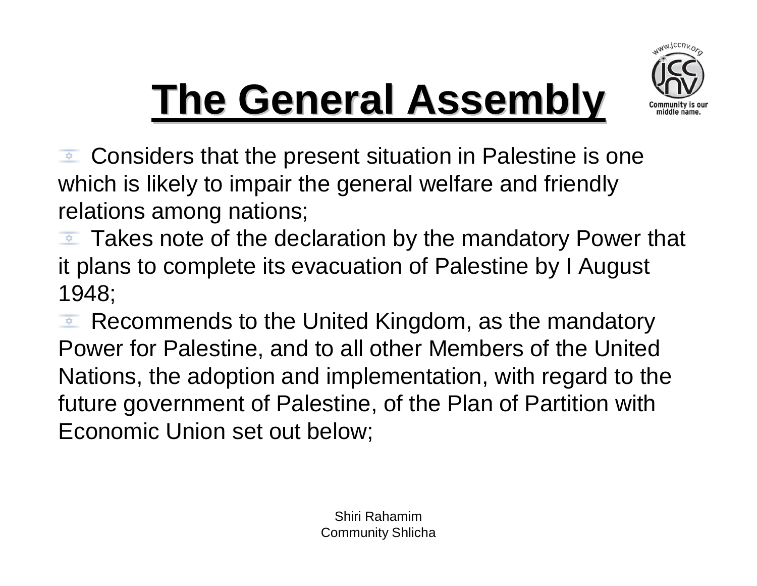

### **The General Assembly**

 $\bullet$  Considers that the present situation in Palestine is one which is likely to impair the general welfare and friendly relations among nations;

Takes note of the declaration by the mandatory Power that  $\frac{1}{2}$ it plans to complete its evacuation of Palestine by I August 1948;

Recommends to the United Kingdom, as the mandatory  $\frac{1}{2}$ Power for Palestine, and to all other Members of the United Nations, the adoption and implementation, with regard to the future government of Palestine, of the Plan of Partition with Economic Union set out below;